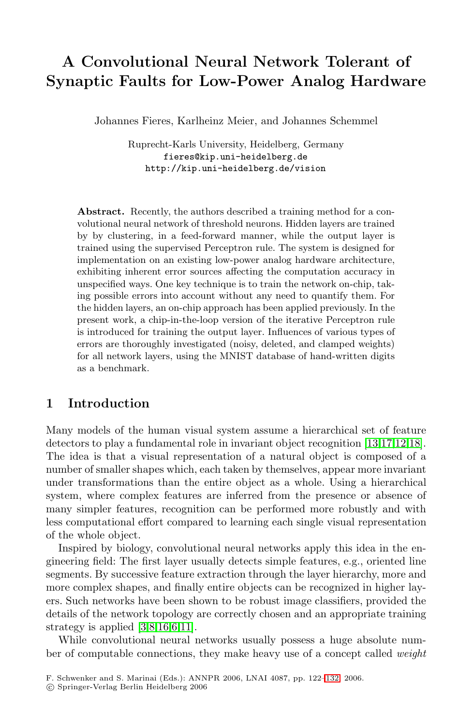# **A Convolutional Neural Network Tolerant of Synaptic Faults for Low-Power Analog Hardware**

Johannes Fieres, Karlheinz Meier, and Johannes Schemmel

Ruprecht-Karls University, Heidelberg, Germany fieres@kip.uni-heidelberg.de http://kip.uni-heidelberg.de/vision

**Abstract.** Recently, the authors described a training method for a convolutional neural network of threshold neurons. Hidden layers are trained by by clustering, in a feed-forward manner, while the output layer is trained using the supervised Perceptron rule. The system is designed for implementation on an existing low-power analog hardware architecture, exhibiting inherent error sources affecting the computation accuracy in unspecified ways. One key technique is to train the network on-chip, taking possible errors into account without any need to quantify them. For the hidden layers, an on-chip approach has been applied previously. In the present work, a chip-in-the-loop version of the iterative Perceptron rule is introduced for training the output layer. Influences of various types of errors are thoroughly investigated (noisy, del[ete](#page-9-0)[d, a](#page-10-0)[nd](#page-9-1) [cla](#page-10-1)mped weights) for all network layers, using the MNIST database of hand-written digits as a benchmark.

## **1 Introduction**

Many models of the human visual system assume a hierarchical set of feature detectors to play a fundamental role in invariant object recognition [13,17,12,18]. The idea is that a visual representation of a natural object is composed of a number of smaller shapes which, each taken by themselves, appear more invariant under transformations than the entire object as a whole. Using a hierarchical system, where complex features are inferred from the presence or absence of many simpler features, recognition can be performed more robustly and with [les](#page-9-2)[s](#page-9-3) [co](#page-10-2)[m](#page-9-4)[put](#page-9-5)ational effort compared to learning each single visual representation of the whole object.

Inspired by biology, convolutional neural networks apply this idea in the engineering field: The first layer usually detects simple features, e.g., oriented line segments. By successive feature extract[ion t](#page-9-6)hrough the layer hierarchy, more and more complex shapes, and finally entire objects can be recognized in higher layers. Such networks have been shown to be robust image classifiers, provided the details of the network topology are correctly chosen and an appropriate training strategy is applied [3,8,16,6,11].

While convolutional neural networks usually possess a huge absolute number of computable connections, they make heavy use of a concept called *weight*

F. Schwenker and S. Marinai (Eds.): ANNPR 2006, LNAI 4087, pp. 122–132, 2006.

<sup>-</sup>c Springer-Verlag Berlin Heidelberg 2006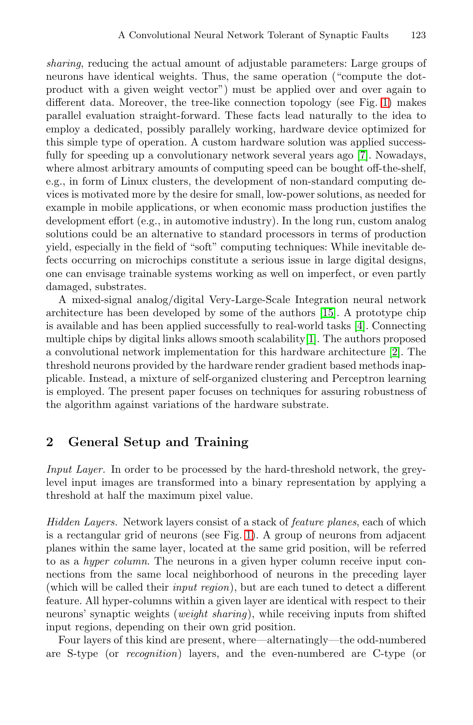*sharing*, reducing the actual amount of adjust[ab](#page-9-7)le parameters: Large groups of neurons have identical weights. Thus, the same operation ("compute the dotproduct with a given weight vector") must be applied over and over again to different data. Moreover, the tree-like connection topology (see Fig. 1) makes parallel evaluation straight-forward. These facts lead naturally to the idea to employ a dedicated, possibly parallely working, hardware device optimized for this simple type of operation. A custom hardware solution was applied successfully for speeding up a convolutionary network several years ago [7]. Nowadays, where almost arbitrary amounts of computing speed can be bought off-the-shelf, e.g., in form of Linux clusters, the development of non-standard computing devices is motivated more by the desire for small, low-power solutions, as needed for example in mobile applications, or wh[en e](#page-9-8)conomic mass production justifies the development effort (e.g., in automotive indust[ry\)](#page-9-9). In the long run, custom analog solutions could be an alternative to [s](#page-9-10)tandard processors in terms of production yield, especially in the field of "soft" computing techn[iq](#page-9-11)ues: While inevitable defects occurring on microchips constitute a serious issue in large digital designs, one can envisage trainable systems working as well on imperfect, or even partly damaged, substrates.

<span id="page-1-0"></span>A mixed-signal analog/digital Very-Large-Scale Integration neural network architecture has been developed by some of the authors [15]. A prototype chip is available and has been applied successfully to real-world tasks [4]. Connecting multiple chips by digital links allows smooth scalability[1]. The authors proposed a convolutional network implementation for this hardware architecture [2]. The threshold neurons provided by the hardware render gradient based methods inapplicable. Instead, a mixture of self-organized clustering and Perceptron learning is employed. The present paper focuses on techniques for assuring robustness of the algorithm against variations of the hardware substrate.

## **2 General Setu[p](#page-2-0) and Training**

*Input Layer.* In order to be processed by the hard-threshold network, the greylevel input images are transformed into a binary representation by applying a threshold at half the maximum pixel value.

*Hidden Layers.* Network layers consist of a stack of *feature planes*, each of which is a rectangular grid of neurons (see Fig. 1). A group of neurons from adjacent planes within the same layer, located at the same grid position, will be referred to as a *hyper column*. The neurons in a given hyper column receive input connections from the same local neighborhood of neurons in the preceding layer (which will be called their *input region*), but are each tuned to detect a different feature. All hyper-columns within a given layer are identical with respect to their neurons' synaptic weights (*weight sharing*), while receiving inputs from shifted input regions, depending on their own grid position.

Four layers of this kind are present, where—alternatingly—the odd-numbered are S-type (or *recognition*) layers, and the even-numbered are C-type (or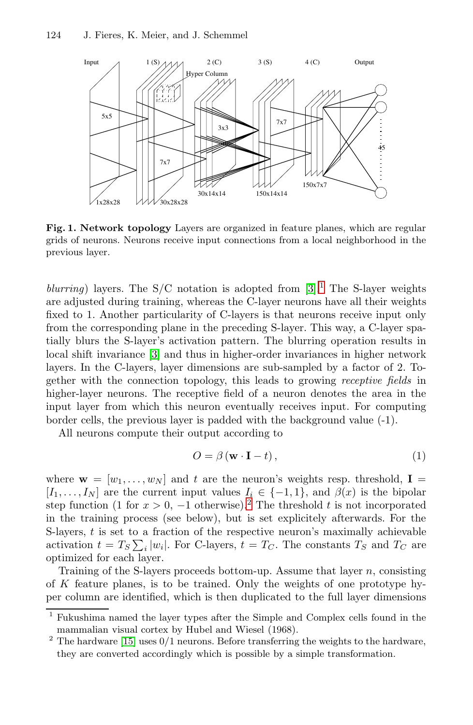

<span id="page-2-0"></span>**Fig. 1. Network topology** Layers are organized in feature planes, which are regular grids of neurons. Neurons receive input connections from a local neighborhood in the pr[evi](#page-9-2)ous layer.

*blurring*) layers. The  $S/C$  notation is adopted from  $[3]^1$ . The S-layer weights are adjusted during training, whereas the C-layer neurons have all their weights fixed to 1. Another particularity of C-layers is that neurons receive input only from the corresponding plane in the preceding S-layer. This way, a C-layer spatially blurs the S-layer's activation pattern. The blurring operation results in local shift invariance [3] and thus in higher-order invariances in higher network layers. In the C-layers, layer dimensions are sub-sampled by a factor of 2. Together with the connection topology, this leads to growing *receptive fields* in higher-layer neurons. The receptive field of a neuron denotes the area in the input layer from whic[h](#page-2-2) this neuron eventually receives input. For computing border cells, the previous layer is padded with the background value (-1).

All neurons compute their output according to

$$
O = \beta(\mathbf{w} \cdot \mathbf{I} - t), \tag{1}
$$

where  $\mathbf{w} = [w_1, \dots, w_N]$  and t are the neuron's weights resp. threshold,  $\mathbf{I} =$  $[I_1, \ldots, I_N]$  are the current input values  $I_i \in \{-1, 1\}$ , and  $\beta(x)$  is the bipolar step function (1 for  $x > 0$ , -1 otherwise).<sup>2</sup> The threshold t is not incorporated in the training process (see below), but is set explicitely afterwards. For the S-layers,  $t$  is set to a fraction of the respective neuron's maximally achievable activation  $t = T_S \sum_i |w_i|$ . For C-layers,  $t = T_C$ . The constants  $T_S$  and  $T_C$  are optimized for each layer.

<span id="page-2-2"></span><span id="page-2-1"></span>Training of the S-layers proceeds bottom-up. Assume that layer  $n$ , consisting of  $K$  feature planes, is to be trained. Only the weights of one prototype hyper column are identified, which is then duplicated to the full layer dimensions

<sup>1</sup> Fukushima named the layer types after the Simple and Complex cells found in the mammalian visual cortex by Hubel and Wiesel (1968).

<sup>&</sup>lt;sup>2</sup> The hardware [15] uses 0/1 neurons. Before transferring the weights to the hardware, they are converted accordingly which is possible by a simple transformation.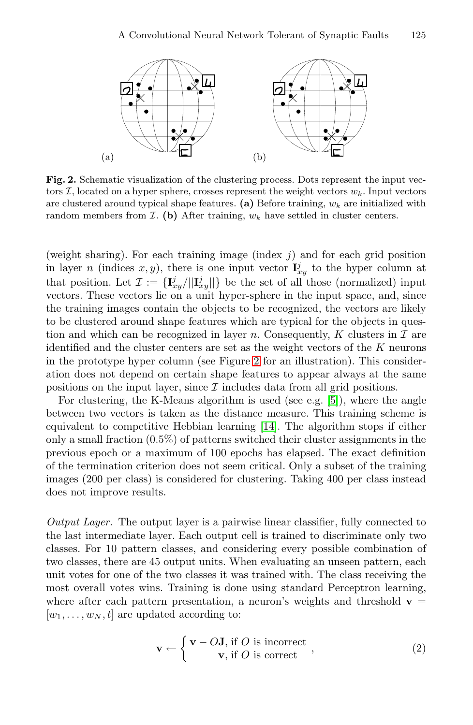

<span id="page-3-0"></span>**Fig. 2.** Schematic visualization of the clustering process. Dots represent the input vectors  $\mathcal{I}$ , located on a hyper sphere, crosses represent the weight vectors  $w_k$ . Input vectors are clustered around typical shape features. (a) Before training,  $w_k$  are initialized with random members from  $I$ . (b) After training,  $w_k$  have settled in cluster centers.

(weight sharing). For e[ach](#page-3-0) training image (index  $j$ ) and for each grid position in layer *n* (indices  $x, y$ ), there is one input vector  $\mathbf{I}^j_{xy}$  to the hyper column at that position. Let  $\mathcal{I} := \{\mathbf{I}_{xy}^j/||\mathbf{I}_{xy}^j||\}$  be the set of all those (normalized) input vectors. These vectors lie on a unit hyp[er](#page-9-12)-sphere in the input space, and, since the training images contain the objects to be recognized, the vectors are likely to be clustered around sh[ape](#page-9-13) features which are typical for the objects in question and which can be recognized in layer n. Consequently,  $K$  clusters in  $\mathcal I$  are identified and the cluster centers are set as the weight vectors of the  $K$  neurons in the prototype hyper column (see Figure 2 for an illustration). This consideration does not depend on certain shape features to appear always at the same positions on the input layer, since  $\mathcal I$  includes data from all grid positions.

For clustering, the K-Means algorithm is used (see e.g. [5]), where the angle between two vectors is taken as the distance measure. This training scheme is equivalent to competitive Hebbian learning [14]. The algorithm stops if either only a small fraction (0.5%) of patterns switched their cluster assignments in the previous epoch or a maximum of 100 epochs has elapsed. The exact definition of the termination criterion does not seem critical. Only a subset of the training images (200 per class) is considered for clustering. Taking 400 per class instead does not improve results.

<span id="page-3-1"></span>*Output Layer.* The output layer is a pairwise linear classifier, fully connected to the last intermediate layer. Each output cell is trained to discriminate only two classes. For 10 pattern classes, and considering every possible combination of two classes, there are 45 output units. When evaluating an unseen pattern, each unit votes for one of the two classes it was trained with. The class receiving the most overall votes wins. Training is done using standard Perceptron learning, where after each pattern presentation, a neuron's weights and threshold  $\mathbf{v} =$  $[w_1,\ldots,w_N,t]$  are updated according to:

$$
\mathbf{v} \leftarrow \begin{cases} \mathbf{v} - O\mathbf{J}, \text{ if } O \text{ is incorrect} \\ \mathbf{v}, \text{ if } O \text{ is correct} \end{cases}, \tag{2}
$$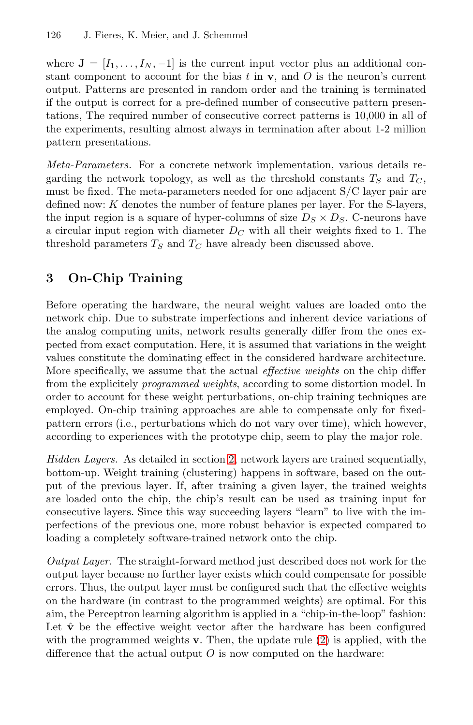where  $J = [I_1, \ldots, I_N, -1]$  is the current input vector plus an additional constant component to account for the bias  $t$  in  $v$ , and  $\hat{O}$  is the neuron's current output. Patterns are presented in random order and the training is terminated if the output is correct for a pre-defined number of consecutive pattern presentations, The required number of consecutive correct patterns is 10,000 in all of the experiments, resulting almost always in termination after about 1-2 million pattern presentations.

*Meta-Parameters.* For a concrete network implementation, various details regarding the network topology, as well as the threshold constants  $T<sub>S</sub>$  and  $T<sub>C</sub>$ , must be fixed. The meta-parameters needed for one adjacent S/C layer pair are defined now:  $K$  denotes the number of feature planes per layer. For the S-layers, the input region is a square of hyper-columns of size  $D_S \times D_S$ . C-neurons have a circular input region with diameter  $D<sub>C</sub>$  with all their weights fixed to 1. The threshold parameters  $T_S$  and  $T_C$  have already been discussed above.

# **3 On-Chip Training**

Before operating the hardware, the neural weight values are loaded onto the network chip. Due to substrate imperfections and inherent device variations of the analog computing units, network results generally differ from the ones expected from exact computation. Here, it is assumed that variations in the weight values constitute t[he](#page-1-0) dominating effect in the considered hardware architecture. More specifically, we assume that the actual *effective weights* on the chip differ from the explicitely *programmed weights*, according to some distortion model. In order to account for these weight perturbations, on-chip training techniques are employed. On-chip training approaches are able to compensate only for fixedpattern errors (i.e., perturbations which do not vary over time), which however, according to experiences with the prototype chip, seem to play the major role.

*Hidden Layers.* As detailed in section 2, network layers are trained sequentially, bottom-up. Weight training (clustering) happens in software, based on the output of the previous layer. If, after training a given layer, the trained weights are loaded onto the chip, the chip's result can be used as training input for consecutive layers. Since this way succeeding layers "learn" to live with the imperfections of the previous one, more robust behavior is expected compared to loading a completely software-trained [ne](#page-3-1)twork onto the chip.

*Output Layer.* The straight-forward method just described does not work for the output layer because no further layer exists which could compensate for possible errors. Thus, the output layer must be configured such that the effective weights on the hardware (in contrast to the programmed weights) are optimal. For this aim, the Perceptron learning algorithm is applied in a "chip-in-the-loop" fashion: Let  $\hat{\mathbf{v}}$  be the effective weight vector after the hardware has been configured with the programmed weights **v**. Then, the update rule  $(2)$  is applied, with the difference that the actual output  $O$  is now computed on the hardware: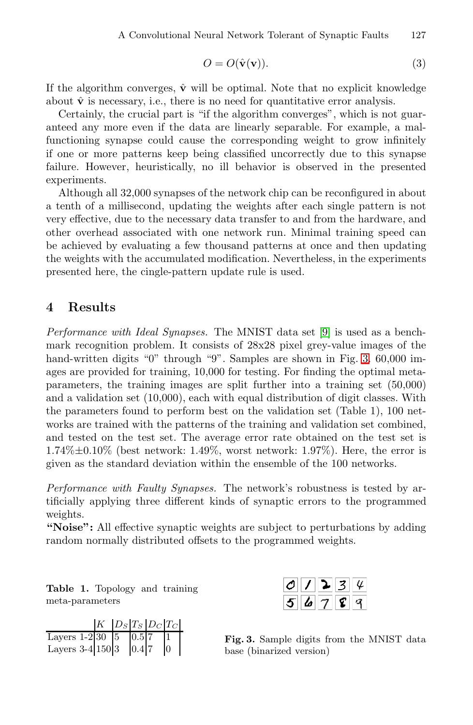$$
O = O(\hat{\mathbf{v}}(\mathbf{v})).\tag{3}
$$

If the algorithm converges,  $\hat{\mathbf{v}}$  will be optimal. Note that no explicit knowledge about  $\hat{\mathbf{v}}$  is necessary, i.e., there is no need for quantitative error analysis.

Certainly, the crucial part is "if the algorithm converges", which is not guaranteed any more even if the data are linearly separable. For example, a malfunctioning synapse could cause the corresponding weight to grow infinitely if one or more patterns keep being classified uncorrectly due to this synapse failure. However, heuristically, no ill behavior is observed in the presented experiments.

Although all 32,000 synapses of the network chip can be reconfigured in about a tenth of a millisecond, updating the weights after each single pattern is not very effective, due to the necessary data transfer to and from the hardware, and other overhead associated with one n[et](#page-9-14)work run. Minimal training speed can be achieved by evaluating a few thousand patterns at once and then updating the weights with the accumulated modification. [N](#page-5-0)evertheless, in the experiments presented here, the cingle-pattern update rule is used.

## **4 Results**

*Performance with Ideal Synapses.* The MNIST data set [9] is used as a benchmark recognition problem. It consists of 28x28 pixel grey-value images of the hand-written digits "0" through "9". Samples are shown in Fig. 3. 60,000 images are provided for training, 10,000 for testing. For finding the optimal metaparameters, the training images are split further into a training set (50,000) and a validation set (10,000), each with equal distribution of digit classes. With the parameters found to perform best on the validation set (Table 1), 100 networks are trained with the patterns of the training and validation set combined, and tested on the test set. The average error rate obtained on the test set is  $1.74\% \pm 0.10\%$  (best network: 1.49%, worst network: 1.97%). Here, the error is given as the standard deviation within the ensemble of the 100 networks.

*Performance with Faulty Synapses.* The network's robustness is tested by artificially applying three different kinds of synaptic errors to the programmed weights.

<span id="page-5-0"></span>**"Noise":** All effective synaptic weights are subject to perturbations by adding random normally distributed offsets to the programmed weights.

**Table 1.** Topology and training meta-parameters

Layers  $1-2$  30 | 5 |  $0.5$  | 7 | 1 Layers  $3-4|150|3$   $|0.4|7$   $|0$ 

 $K$   $D_S$   $T_S$   $D_C$   $T_C$ 

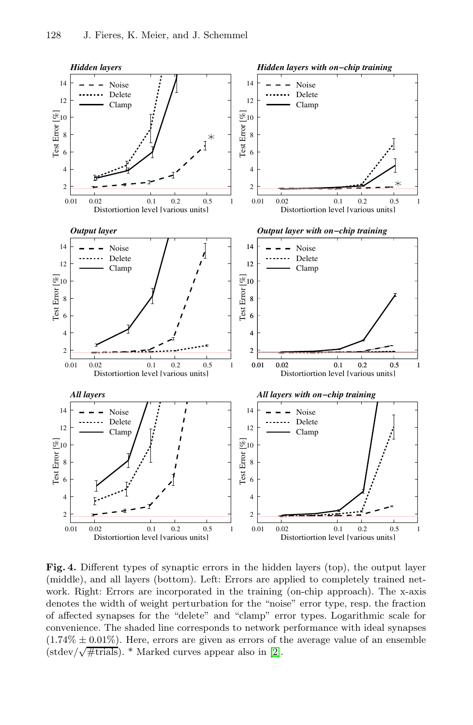

<span id="page-6-0"></span>**Fig. 4.** Different types of synaptic errors in the hidden layers (top), the output layer (middle), and all layers (bottom). Left: Errors are applied to completely trained network. Right: Errors are incorporated in the training (on-chip approach). The x-axis denotes the width of weight perturbation for the "noise" error type, resp. the fraction of affected synapses for the "delete" and "clamp" error types. Logarithmic scale for convenience. The shaded line corresponds to network performance with ideal synapses  $(1.74\% \pm 0.01\%)$ . Here, errors are given as errors of the average value of an ensemble  $(\text{stdev}/\sqrt{\text{\#trials}})$ . \* Marked curves appear also in [2].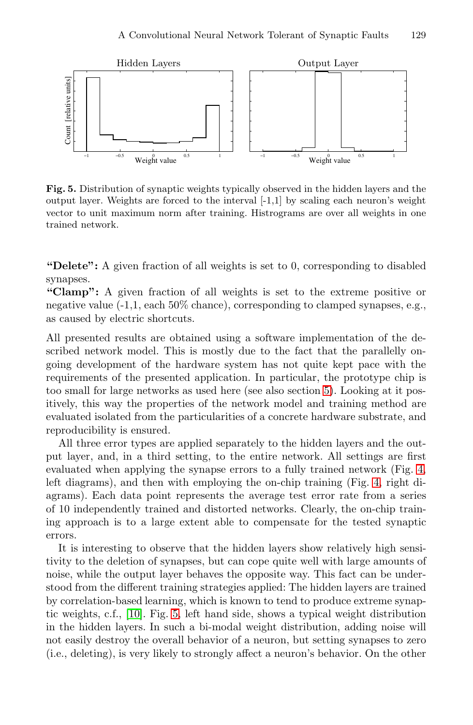<span id="page-7-0"></span>

**Fig. 5.** Distribution of synaptic weights typically observed in the hidden layers and the output layer. Weights are forced to the interval  $[-1,1]$  by scaling each neuron's weight vector to unit maximum norm after training. Histrograms are over all weights in one trained network.

**"Delete":** A given fraction of all weights is set to 0, corresponding to disabled synapses.

**"Clamp":** A given fraction of all w[eig](#page-8-0)hts is set to the extreme positive or negative value  $(-1,1,$  each  $50\%$  chance), corresponding to clamped synapses, e.g., as caused by electric shortcuts.

All presented results are obtained using a software implementation of the described network model. This is mostly due to the fact that the parallelly ongoing development of the hardware system has not quit[e k](#page-6-0)ept pace with the requirements of the presented application. In pa[rt](#page-6-0)icular, the prototype chip is too small for large networks as used here (see also section 5). Looking at it positively, this way the properties of the network model and training method are evaluated isolated from the particularities of a concrete hardware substrate, and reproducibility is ensured.

All three error types are applied separately to the hidden layers and the output layer, and, in a third setting, to the entire network. All settings are first evaluated when applying the synapse errors to a fully trained network (Fig. 4, left diagrams), and then with employing the on-chip training (Fig. 4, right diagrams). Each data point represents the average test error rate from a series [o](#page-9-15)f 10 i[nd](#page-7-0)ependently trained and distorted networks. Clearly, the on-chip training approach is to a large extent able to compensate for the tested synaptic errors.

It is interesting to observe that the hidden layers show relatively high sensitivity to the deletion of synapses, but can cope quite well with large amounts of noise, while the output layer behaves the opposite way. This fact can be understood from the different training strategies applied: The hidden layers are trained by correlation-based learning, which is known to tend to produce extreme synaptic weights, c.f., [10]. Fig. 5, left hand side, shows a typical weight distribution in the hidden layers. In such a bi-modal weight distribution, adding noise will not easily destroy the overall behavior of a neuron, but setting synapses to zero (i.e., deleting), is very likely to strongly affect a neuron's behavior. On the other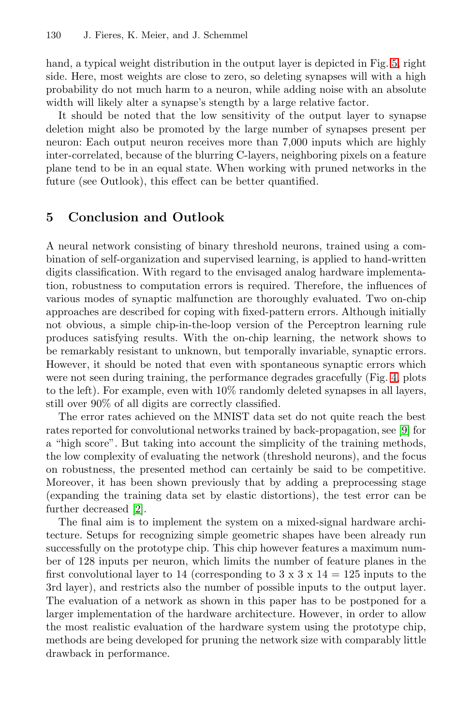hand, a typical weight distribution in the output layer is depicted in Fig. 5, right side. Here, most weights are close to zero, so deleting synapses will with a high probability do not much harm to a neuron, while adding noise with an absolute width will likely alter a synapse's stength by a large relative factor.

<span id="page-8-0"></span>It should be noted that the low sensitivity of the output layer to synapse deletion might also be promoted by the large number of synapses present per neuron: Each output neuron receives more than 7,000 inputs which are highly inter-correlated, because of the blurring C-layers, neighboring pixels on a feature plane tend to be in an equal state. When working with pruned networks in the future (see Outlook), this effect can be better quantified.

# **5 Conclusion and Outlook**

A neural network consisting of binary threshold neurons, trained using a combination of self-organization and supervised learning, is applied to hand-written digits classification. With regard to the envisaged an[alo](#page-6-0)g hardware implementation, robustness to computation errors is required. Therefore, the influences of various modes of synaptic malfunction are thoroughly evaluated. Two on-chip approaches are described for coping with fixed-pattern errors. Although initially not obvious, a simple chip-in-the-loop version of the [Pe](#page-9-14)rceptron learning rule produces satisfying results. With the on-chip learning, the network shows to be remarkably resistant to unknown, but temporally invariable, synaptic errors. However, it should be noted that even with spontaneous synaptic errors which were not seen during training, the performance degrades gracefully (Fig. 4, plots to the left). For example, even with 10% randomly deleted synapses in all layers, [st](#page-9-11)ill over 90% of all digits are correctly classified.

The error rates achieved on the MNIST data set do not quite reach the best rates reported for convolutional networks trained by back-propagation, see [9] for a "high score". But taking into account the simplicity of the training methods, the low complexity of evaluating the network (threshold neurons), and the focus on robustness, the presented method can certainly be said to be competitive. Moreover, it has been shown previously that by adding a preprocessing stage (expanding the training data set by elastic distortions), the test error can be further decreased [2].

The final aim is to implement the system on a mixed-signal hardware architecture. Setups for recognizing simple geometric shapes have been already run successfully on the prototype chip. This chip however features a maximum number of 128 inputs per neuron, which limits the number of feature planes in the first convolutional layer to 14 (corresponding to  $3 \times 3 \times 14 = 125$  inputs to the 3rd layer), and restricts also the number of possible inputs to the output layer. The evaluation of a network as shown in this paper has to be postponed for a larger implementation of the hardware architecture. However, in order to allow the most realistic evaluation of the hardware system using the prototype chip, methods are being developed for pruning the network size with comparably little drawback in performance.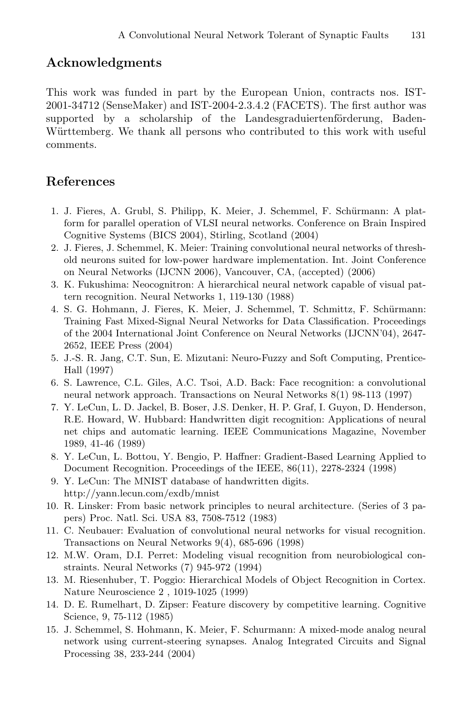# **Acknowledgments**

This work was funded in part by the European Union, contracts nos. IST-2001-34712 (SenseMaker) and IST-2004-2.3.4.2 (FACETS). The first author was supported by a scholarship of the Landesgraduiertenförderung, Baden-Württemberg. We thank all persons who contributed to this work with useful comments.

# <span id="page-9-10"></span><span id="page-9-6"></span>**References**

- 1. J. Fieres, A. Grubl, S. Philipp, K. Meier, J. Schemmel, F. Schürmann: A platform for parallel operation of VLSI neural networks. Conference on Brain Inspired Cognitive Systems (BICS 2004), Stirling, Scotland (2004)
- <span id="page-9-11"></span>2. J. Fieres, J. Schemmel, K. Meier: Training convolutional neural networks of threshold neurons suited for low-power hardware implementation. Int. Joint Conference on Neural Networks (IJCNN 2006), Vancouver, CA, (accepted) (2006)
- <span id="page-9-2"></span>3. K. Fukushima: Neocognitron: A hierarchical neural network capable of visual pattern recognition. Neural Networks 1, 119-130 (1988)
- <span id="page-9-9"></span>4. S. G. Hohmann, J. Fieres, K. Meier, J. Schemmel, T. Schmittz, F. Schürmann: Training Fast Mixed-Signal Neural Networks for Data Classification. Proceedings of the 2004 International Joint Conference on Neural Networks (IJCNN'04), 2647- 2652, IEEE Press (2004)
- <span id="page-9-12"></span>5. J.-S. R. Jang, C.T. Sun, E. Mizutani: Neuro-Fuzzy and Soft Computing, Prentice-Hall (1997)
- <span id="page-9-7"></span><span id="page-9-4"></span>6. S. Lawrence, C.L. Giles, A.C. Tsoi, A.D. Back: Face recognition: a convolutional neural network approach. Transactions on Neural Networks 8(1) 98-113 (1997)
- 7. Y. LeCun, L. D. Jackel, B. Boser, J.S. Denker, H. P. Graf, I. Guyon, D. Henderson, R.E. Howard, W. Hubbard: Handwritten digit recognition: Applications of neural net chips and automatic learning. IEEE Communications Magazine, November 1989, 41-46 (1989)
- <span id="page-9-3"></span>8. Y. LeCun, L. Bottou, Y. Bengio, P. Haffner: Gradient-Based Learning Applied to Document Recognition. Proceedings of the IEEE, 86(11), 2278-2324 (1998)
- <span id="page-9-14"></span>9. Y. LeCun: The MNIST database of handwritten digits. http://yann.lecun.com/exdb/mnist
- <span id="page-9-15"></span>10. R. Linsker: From basic network principles to neural architecture. (Series of 3 papers) Proc. Natl. Sci. USA 83, 7508-7512 (1983)
- <span id="page-9-5"></span>11. C. Neubauer: Evaluation of convolutional neural networks for visual recognition. Transactions on Neural Networks 9(4), 685-696 (1998)
- <span id="page-9-1"></span>12. M.W. Oram, D.I. Perret: Modeling visual recognition from neurobiological constraints. Neural Networks (7) 945-972 (1994)
- <span id="page-9-0"></span>13. M. Riesenhuber, T. Poggio: Hierarchical Models of Object Recognition in Cortex. Nature Neuroscience 2 , 1019-1025 (1999)
- <span id="page-9-13"></span>14. D. E. Rumelhart, D. Zipser: Feature discovery by competitive learning. Cognitive Science, 9, 75-112 (1985)
- <span id="page-9-8"></span>15. J. Schemmel, S. Hohmann, K. Meier, F. Schurmann: A mixed-mode analog neural network using current-steering synapses. Analog Integrated Circuits and Signal Processing 38, 233-244 (2004)